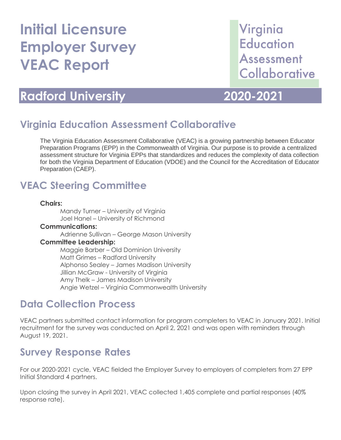# **Initial Licensure Employer Survey VEAC Report**

# Virginia **Education** Assessment Collaborative

## **Radford University 2020-2021**

### **Virginia Education Assessment Collaborative**

The Virginia Education Assessment Collaborative (VEAC) is a growing partnership between Educator Preparation Programs (EPP) in the Commonwealth of Virginia. Our purpose is to provide a centralized assessment structure for Virginia EPPs that standardizes and reduces the complexity of data collection for both the Virginia Department of Education (VDOE) and the Council for the Accreditation of Educator Preparation (CAEP).

### **VEAC Steering Committee**

#### **Chairs:**

Mandy Turner – University of Virginia Joel Hanel – University of Richmond

#### **Communications:**

Adrienne Sullivan – George Mason University

#### **Committee Leadership:**

Maggie Barber – Old Dominion University Matt Grimes – Radford University Alphonso Sealey – James Madison University Jillian McGraw - University of Virginia Amy Thelk – James Madison University Angie Wetzel – Virginia Commonwealth University

### **Data Collection Process**

VEAC partners submitted contact information for program completers to VEAC in January 2021. Initial recruitment for the survey was conducted on April 2, 2021 and was open with reminders through August 19, 2021.

### **Survey Response Rates**

For our 2020-2021 cycle, VEAC fielded the Employer Survey to employers of completers from 27 EPP Initial Standard 4 partners.

Upon closing the survey in April 2021, VEAC collected 1,405 complete and partial responses (40% response rate).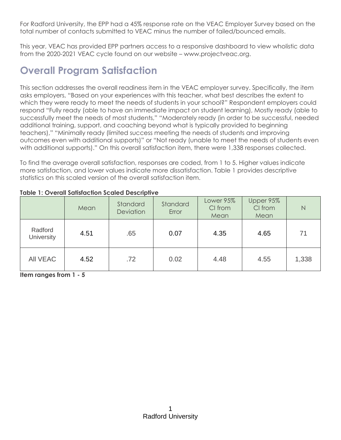For Radford University, the EPP had a 45% response rate on the VEAC Employer Survey based on the total number of contacts submitted to VEAC minus the number of failed/bounced emails.

This year, VEAC has provided EPP partners access to a responsive dashboard to view wholistic data from the 2020-2021 VEAC cycle found on our website – www.projectveac.org.

## **Overall Program Satisfaction**

This section addresses the overall readiness item in the VEAC employer survey. Specifically, the item asks employers, "Based on your experiences with this teacher, what best describes the extent to which they were ready to meet the needs of students in your school?" Respondent employers could respond "Fully ready (able to have an immediate impact on student learning), Mostly ready (able to successfully meet the needs of most students," "Moderately ready (in order to be successful, needed additional training, support, and coaching beyond what is typically provided to beginning teachers)," "Minimally ready (limited success meeting the needs of students and improving outcomes even with additional supports)" or "Not ready (unable to meet the needs of students even with additional supports)." On this overall satisfaction item, there were 1,338 responses collected.

To find the average overall satisfaction, responses are coded, from 1 to 5. Higher values indicate more satisfaction, and lower values indicate more dissatisfaction. Table 1 provides descriptive statistics on this scaled version of the overall satisfaction item.

|                              | Mean | Standard<br>Deviation | Standard<br>Error | Lower 95%<br>CI from<br>Mean | Upper 95%<br>CI from<br>Mean | N     |
|------------------------------|------|-----------------------|-------------------|------------------------------|------------------------------|-------|
| Radford<br><b>University</b> | 4.51 | .65                   | 0.07              | 4.35                         | 4.65                         | 71    |
| <b>AII VEAC</b>              | 4.52 | .72                   | 0.02              | 4.48                         | 4.55                         | 1,338 |

**Table 1: Overall Satisfaction Scaled Descriptive**

**Item ranges from 1 - 5**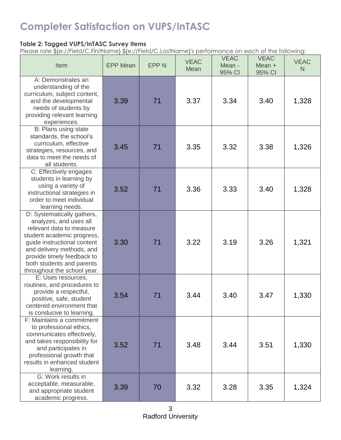### **Completer Satisfaction on VUPS/InTASC**

### **Table 2: Tagged VUPS/InTASC Survey Items**

Please rate \${e://Field/C.FirstName} \${e://Field/C.LastName}'s performance on each of the following:

| Item                                                                                                                                                                                                                                                                 | <b>EPP Mean</b> | <b>EPPN</b> | <b>VEAC</b><br>Mean | <b>VEAC</b><br>Mean -<br>95% CI | <b>VEAC</b><br>Mean +<br>95% CI | <b>VEAC</b><br>N. |
|----------------------------------------------------------------------------------------------------------------------------------------------------------------------------------------------------------------------------------------------------------------------|-----------------|-------------|---------------------|---------------------------------|---------------------------------|-------------------|
| A: Demonstrates an<br>understanding of the<br>curriculum, subject content,<br>and the developmental<br>needs of students by<br>providing relevant learning<br>experiences.                                                                                           | 3.39            | 71          | 3.37                | 3.34                            | 3.40                            | 1,328             |
| B: Plans using state<br>standards, the school's<br>curriculum, effective<br>strategies, resources, and<br>data to meet the needs of<br>all students.                                                                                                                 | 3.45            | 71          | 3.35                | 3.32                            | 3.38                            | 1,326             |
| C: Effectively engages<br>students in learning by<br>using a variety of<br>instructional strategies in<br>order to meet individual<br>learning needs.                                                                                                                | 3.52            | 71          | 3.36                | 3.33                            | 3.40                            | 1,328             |
| D: Systematically gathers,<br>analyzes, and uses all<br>relevant data to measure<br>student academic progress,<br>guide instructional content<br>and delivery methods, and<br>provide timely feedback to<br>both students and parents<br>throughout the school year. | 3.30            | 71          | 3.22                | 3.19                            | 3.26                            | 1,321             |
| E: Uses resources.<br>routines, and procedures to<br>provide a respectful,<br>positive, safe, student<br>centered environment that<br>is conducive to learning.                                                                                                      | 3.54            | 71          | 3.44                | 3.40                            | 3.47                            | 1,330             |
| F: Maintains a commitment<br>to professional ethics,<br>communicates effectively,<br>and takes responsibility for<br>and participates in<br>professional growth that<br>results in enhanced student<br>learning.                                                     | 3.52            | 71          | 3.48                | 3.44                            | 3.51                            | 1,330             |
| G: Work results in<br>acceptable, measurable,<br>and appropriate student<br>academic progress.                                                                                                                                                                       | 3.39            | 70          | 3.32                | 3.28                            | 3.35                            | 1,324             |